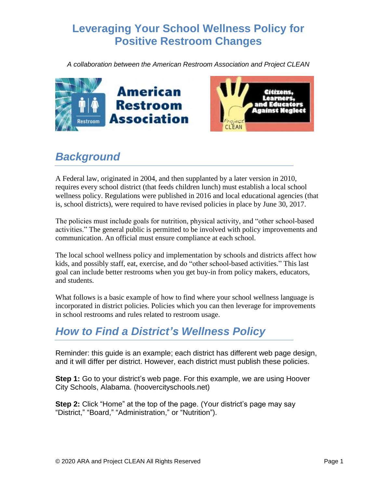## **Leveraging Your School Wellness Policy for Positive Restroom Changes**

*A collaboration between the American Restroom Association and Project CLEAN*





## *Background*

A Federal law, originated in 2004, and then supplanted by a later version in 2010, requires every school district (that feeds children lunch) must establish a local school wellness policy. Regulations were published in 2016 and local educational agencies (that is, school districts), were required to have revised policies in place by June 30, 2017.

The policies must include goals for nutrition, physical activity, and "other school-based activities." The general public is permitted to be involved with policy improvements and communication. An official must ensure compliance at each school.

The local school wellness policy and implementation by schools and districts affect how kids, and possibly staff, eat, exercise, and do "other school-based activities." This last goal can include better restrooms when you get buy-in from policy makers, educators, and students.

What follows is a basic example of how to find where your school wellness language is incorporated in district policies. Policies which you can then leverage for improvements in school restrooms and rules related to restroom usage.

## *How to Find a District's Wellness Policy*

Reminder: this guide is an example; each district has different web page design, and it will differ per district. However, each district must publish these policies.

**Step 1:** Go to your district's web page. For this example, we are using Hoover City Schools, Alabama. (hoovercityschools.net)

**Step 2:** Click "Home" at the top of the page. (Your district's page may say "District," "Board," "Administration," or "Nutrition").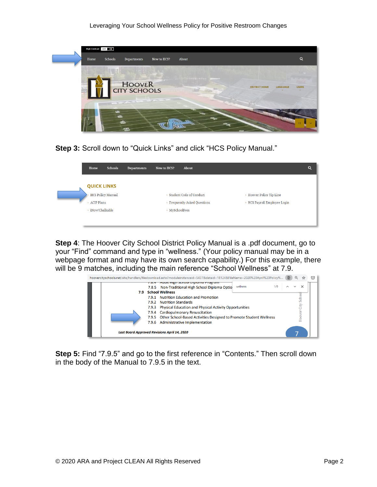

**Step 3:** Scroll down to "Quick Links" and click "HCS Policy Manual."

| Home                                                   | Schools                  | Departments | New to HCS?    | About                                                     |                                                          | Q |
|--------------------------------------------------------|--------------------------|-------------|----------------|-----------------------------------------------------------|----------------------------------------------------------|---|
| <b>QUICK LINKS</b><br>> ACIP Plans<br>> iNow/Chalkable | <b>HCS Policy Manual</b> |             | > MySchoolFees | > Student Code of Conduct<br>> Frequently-Asked Questions | > Hoover Police Tip Line<br>> HCS Payroll Employee Login |   |

**Step 4**: The Hoover City School District Policy Manual is a .pdf document, go to your "Find" command and type in "wellness." (Your policy manual may be in a webpage format and may have its own search capability.) For this example, there will be 9 matches, including the main reference "School Wellness" at 7.9.



**Step 5:** Find "7.9.5" and go to the first reference in "Contents." Then scroll down in the body of the Manual to 7.9.5 in the text.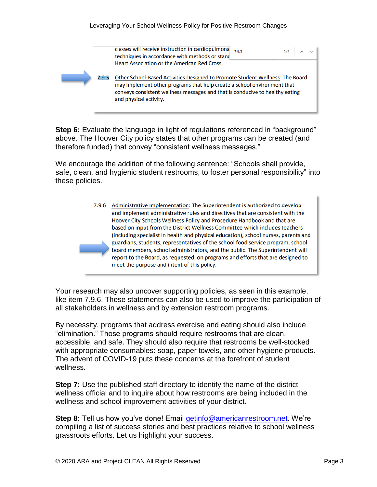

**Step 6:** Evaluate the language in light of regulations referenced in "background" above. The Hoover City policy states that other programs can be created (and therefore funded) that convey "consistent wellness messages."

We encourage the addition of the following sentence: "Schools shall provide, safe, clean, and hygienic student restrooms, to foster personal responsibility" into these policies.



Your research may also uncover supporting policies, as seen in this example, like item 7.9.6. These statements can also be used to improve the participation of all stakeholders in wellness and by extension restroom programs.

By necessity, programs that address exercise and eating should also include "elimination." Those programs should require restrooms that are clean, accessible, and safe. They should also require that restrooms be well-stocked with appropriate consumables: soap, paper towels, and other hygiene products. The advent of COVID-19 puts these concerns at the forefront of student wellness.

**Step 7:** Use the published staff directory to identify the name of the district wellness official and to inquire about how restrooms are being included in the wellness and school improvement activities of your district.

**Step 8:** Tell us how you've done! Email [getinfo@americanrestroom.net.](mailto:getinfo@americanrestroom.net) We're compiling a list of success stories and best practices relative to school wellness grassroots efforts. Let us highlight your success.